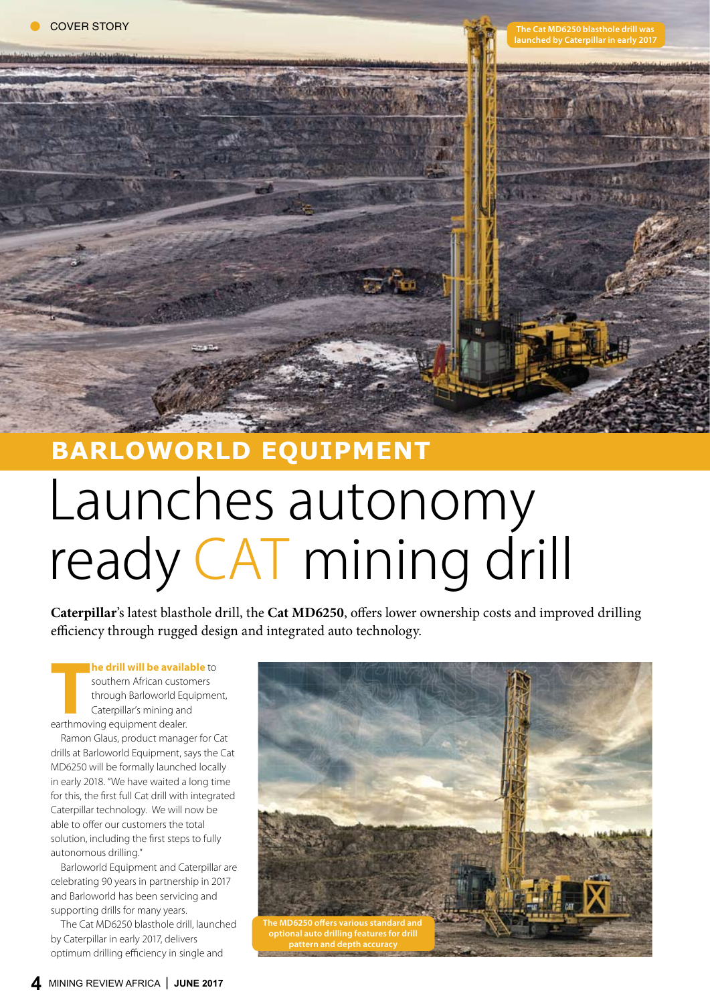**The Cat MD6250 blasthole drill was launched by Caterpillar in early 2017**

WEST COINT

# **Barloworld Equipment** Launches autonomy ready CAT mining drill

**Caterpillar**'s latest blasthole drill, the **Cat MD6250**, offers lower ownership costs and improved drilling efficiency through rugged design and integrated auto technology.

**The drill will be availant and southern African custom**<br>through Barloworld Ec<br>Caterpillar's mining an<br>earthmoving equipment dealer. **he drill will be available** to southern African customers through Barloworld Equipment, Caterpillar's mining and

Ramon Glaus, product manager for Cat drills at Barloworld Equipment, says the Cat MD6250 will be formally launched locally in early 2018. "We have waited a long time for this, the first full Cat drill with integrated Caterpillar technology. We will now be able to offer our customers the total solution, including the first steps to fully autonomous drilling."

Barloworld Equipment and Caterpillar are celebrating 90 years in partnership in 2017 and Barloworld has been servicing and supporting drills for many years.

The Cat MD6250 blasthole drill, launched by Caterpillar in early 2017, delivers optimum drilling efficiency in single and